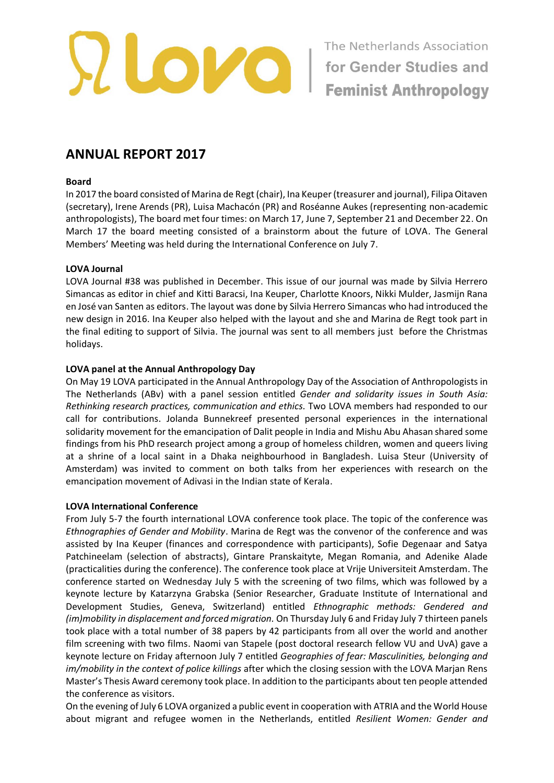

# **ANNUAL REPORT 2017**

## **Board**

In 2017 the board consisted of Marina de Regt (chair), Ina Keuper (treasurer and journal), Filipa Oitaven (secretary), Irene Arends (PR), Luisa Machacón (PR) and Roséanne Aukes (representing non-academic anthropologists), The board met four times: on March 17, June 7, September 21 and December 22. On March 17 the board meeting consisted of a brainstorm about the future of LOVA. The General Members' Meeting was held during the International Conference on July 7.

## **LOVA Journal**

LOVA Journal #38 was published in December. This issue of our journal was made by Silvia Herrero Simancas as editor in chief and Kitti Baracsi, Ina Keuper, Charlotte Knoors, Nikki Mulder, Jasmijn Rana en José van Santen as editors. The layout was done by Silvia Herrero Simancas who had introduced the new design in 2016. Ina Keuper also helped with the layout and she and Marina de Regt took part in the final editing to support of Silvia. The journal was sent to all members just before the Christmas holidays.

# **LOVA panel at the Annual Anthropology Day**

On May 19 LOVA participated in the Annual Anthropology Day of the Association of Anthropologists in The Netherlands (ABv) with a panel session entitled *Gender and solidarity issues in South Asia: Rethinking research practices, communication and ethics.* Two LOVA members had responded to our call for contributions. Jolanda Bunnekreef presented personal experiences in the international solidarity movement for the emancipation of Dalit people in India and Mishu Abu Ahasan shared some findings from his PhD research project among a group of homeless children, women and queers living at a shrine of a local saint in a Dhaka neighbourhood in Bangladesh. Luisa Steur (University of Amsterdam) was invited to comment on both talks from her experiences with research on the emancipation movement of Adivasi in the Indian state of Kerala.

## **LOVA International Conference**

From July 5-7 the fourth international LOVA conference took place. The topic of the conference was *Ethnographies of Gender and Mobility*. Marina de Regt was the convenor of the conference and was assisted by Ina Keuper (finances and correspondence with participants), Sofie Degenaar and Satya Patchineelam (selection of abstracts), Gintare Pranskaityte, Megan Romania, and Adenike Alade (practicalities during the conference). The conference took place at Vrije Universiteit Amsterdam. The conference started on Wednesday July 5 with the screening of two films, which was followed by a keynote lecture by Katarzyna Grabska (Senior Researcher, Graduate Institute of International and Development Studies, Geneva, Switzerland) entitled *Ethnographic methods: Gendered and (im)mobility in displacement and forced migration.* On Thursday July 6 and Friday July 7 thirteen panels took place with a total number of 38 papers by 42 participants from all over the world and another film screening with two films. Naomi van Stapele (post doctoral research fellow VU and UvA) gave a keynote lecture on Friday afternoon July 7 entitled *Geographies of fear: Masculinities, belonging and im/mobility in the context of police killings* after which the closing session with the LOVA Marjan Rens Master's Thesis Award ceremony took place. In addition to the participants about ten people attended the conference as visitors.

On the evening of July 6 LOVA organized a public event in cooperation with ATRIA and the World House about migrant and refugee women in the Netherlands, entitled *Resilient Women: Gender and*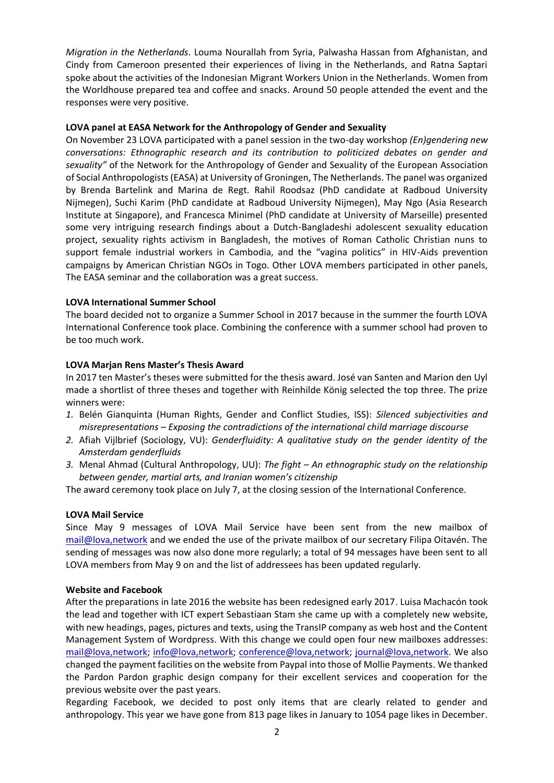*Migration in the Netherlands*. Louma Nourallah from Syria, Palwasha Hassan from Afghanistan, and Cindy from Cameroon presented their experiences of living in the Netherlands, and Ratna Saptari spoke about the activities of the Indonesian Migrant Workers Union in the Netherlands. Women from the Worldhouse prepared tea and coffee and snacks. Around 50 people attended the event and the responses were very positive.

## **LOVA panel at EASA Network for the Anthropology of Gender and Sexuality**

On November 23 LOVA participated with a panel session in the two-day workshop *(En)gendering new conversations: Ethnographic research and its contribution to politicized debates on gender and sexuality"* of the Network for the Anthropology of Gender and Sexuality of the European Association of Social Anthropologists (EASA) at University of Groningen, The Netherlands. The panel was organized by Brenda Bartelink and Marina de Regt. Rahil Roodsaz (PhD candidate at Radboud University Nijmegen), Suchi Karim (PhD candidate at Radboud University Nijmegen), May Ngo (Asia Research Institute at Singapore), and Francesca Minimel (PhD candidate at University of Marseille) presented some very intriguing research findings about a Dutch-Bangladeshi adolescent sexuality education project, sexuality rights activism in Bangladesh, the motives of Roman Catholic Christian nuns to support female industrial workers in Cambodia, and the "vagina politics" in HIV-Aids prevention campaigns by American Christian NGOs in Togo. Other LOVA members participated in other panels, The EASA seminar and the collaboration was a great success.

### **LOVA International Summer School**

The board decided not to organize a Summer School in 2017 because in the summer the fourth LOVA International Conference took place. Combining the conference with a summer school had proven to be too much work.

### **LOVA Marjan Rens Master's Thesis Award**

In 2017 ten Master's theses were submitted for the thesis award. José van Santen and Marion den Uyl made a shortlist of three theses and together with Reinhilde König selected the top three. The prize winners were:

- *1.* Belén Gianquinta (Human Rights, Gender and Conflict Studies, ISS): *Silenced subjectivities and misrepresentations – Exposing the contradictions of the international child marriage discourse*
- *2.* Afiah Vijlbrief (Sociology, VU): *Genderfluidity: A qualitative study on the gender identity of the Amsterdam genderfluids*
- *3.* Menal Ahmad (Cultural Anthropology, UU): *The fight – An ethnographic study on the relationship between gender, martial arts, and Iranian women's citizenship*

The award ceremony took place on July 7, at the closing session of the International Conference.

#### **LOVA Mail Service**

Since May 9 messages of LOVA Mail Service have been sent from the new mailbox of [mail@lova,network](mailto:mail@lova.network) and we ended the use of the private mailbox of our secretary Filipa Oitavén. The sending of messages was now also done more regularly; a total of 94 messages have been sent to all LOVA members from May 9 on and the list of addressees has been updated regularly.

#### **Website and Facebook**

After the preparations in late 2016 the website has been redesigned early 2017. Luisa Machacón took the lead and together with ICT expert Sebastiaan Stam she came up with a completely new website, with new headings, pages, pictures and texts, using the TransIP company as web host and the Content Management System of Wordpress. With this change we could open four new mailboxes addresses: [mail@lova,network;](mailto:mail@lova.network) [info@lova,network;](mailto:info@lova.network) [conference@lova,network;](mailto:conference@lova.network) [journal@lova,network.](mailto:journal@lova.network) We also changed the payment facilities on the website from Paypal into those of Mollie Payments. We thanked the Pardon Pardon graphic design company for their excellent services and cooperation for the previous website over the past years.

Regarding Facebook, we decided to post only items that are clearly related to gender and anthropology. This year we have gone from 813 page likes in January to 1054 page likes in December.